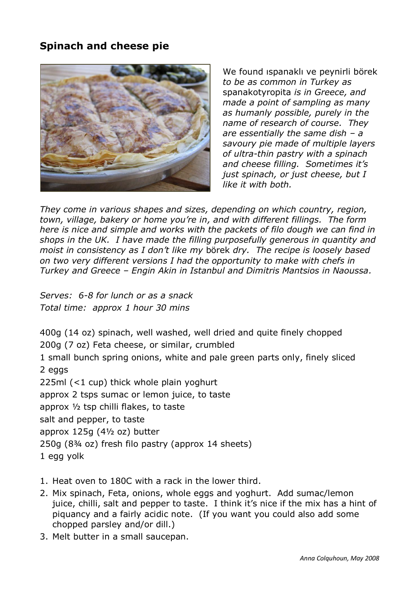## **Spinach and cheese pie**



We found ıspanaklı ve peynirli börek *to be as common in Turkey as*  spanakotyropita *is in Greece, and made a point of sampling as many as humanly possible, purely in the name of research of course. They are essentially the same dish – a savoury pie made of multiple layers of ultra-thin pastry with a spinach and cheese filling. Sometimes it's just spinach, or just cheese, but I like it with both.* 

*They come in various shapes and sizes, depending on which country, region, town, village, bakery or home you're in, and with different fillings. The form here is nice and simple and works with the packets of filo dough we can find in shops in the UK. I have made the filling purposefully generous in quantity and moist in consistency as I don't like my* börek *dry. The recipe is loosely based on two very different versions I had the opportunity to make with chefs in Turkey and Greece – Engin Akin in Istanbul and Dimitris Mantsios in Naoussa.*

*Serves: 6-8 for lunch or as a snack Total time: approx 1 hour 30 mins*

400g (14 oz) spinach, well washed, well dried and quite finely chopped 200g (7 oz) Feta cheese, or similar, crumbled

1 small bunch spring onions, white and pale green parts only, finely sliced 2 eggs

225ml (<1 cup) thick whole plain yoghurt

approx 2 tsps sumac or lemon juice, to taste

approx ½ tsp chilli flakes, to taste

salt and pepper, to taste

approx 125g (4½ oz) butter

250g (8¾ oz) fresh filo pastry (approx 14 sheets)

1 egg yolk

- 1. Heat oven to 180C with a rack in the lower third.
- 2. Mix spinach, Feta, onions, whole eggs and yoghurt. Add sumac/lemon juice, chilli, salt and pepper to taste. I think it's nice if the mix has a hint of piquancy and a fairly acidic note. (If you want you could also add some chopped parsley and/or dill.)
- 3. Melt butter in a small saucepan.